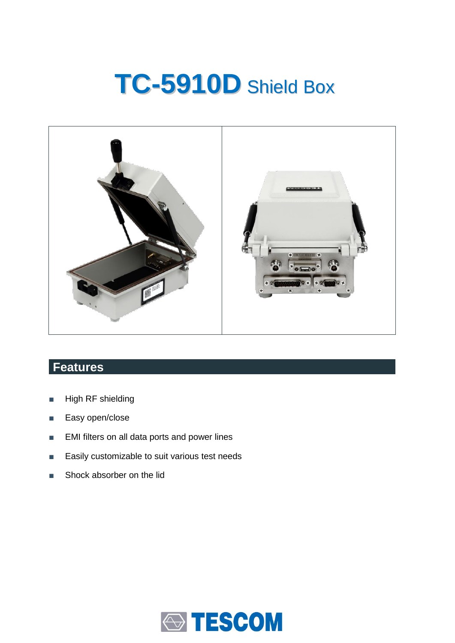# **TC-5910D** Shield Box



## **Features**

- High RF shielding
- Easy open/close
- EMI filters on all data ports and power lines
- Easily customizable to suit various test needs
- Shock absorber on the lid

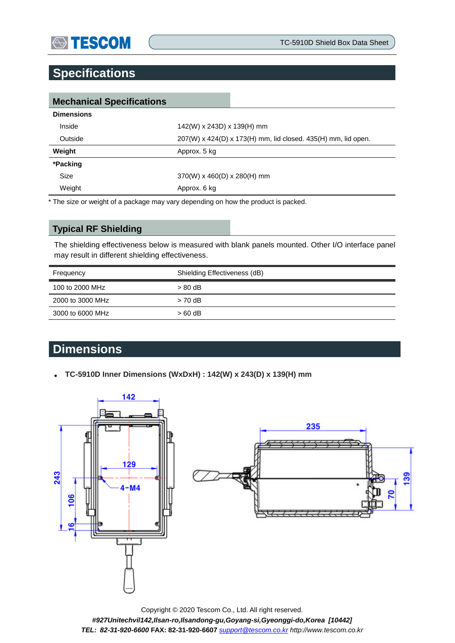

### **Specifications**

| <b>Mechanical Specifications</b> |                                                               |  |  |
|----------------------------------|---------------------------------------------------------------|--|--|
| <b>Dimensions</b>                |                                                               |  |  |
| Inside                           | 142(W) x 243D) x 139(H) mm                                    |  |  |
| Outside                          | 207(W) x 424(D) x 173(H) mm, lid closed. 435(H) mm, lid open. |  |  |
| Weight                           | Approx. 5 kg                                                  |  |  |
| *Packing                         |                                                               |  |  |
| Size                             | $370(W)$ x 460(D) x 280(H) mm                                 |  |  |
| Weight                           | Approx. 6 kg                                                  |  |  |

\* The size or weight of a package may vary depending on how the product is packed.

#### **Typical RF Shielding**

The shielding effectiveness below is measured with blank panels mounted. Other I/O interface panel may result in different shielding effectiveness.

| Shielding Effectiveness (dB) |
|------------------------------|
| $> 80$ dB                    |
| $> 70$ dB                    |
| $>60$ dB                     |
|                              |

## **Dimensions**

**TC-5910D Inner Dimensions (WxDxH) : 142(W) x 243(D) x 139(H) mm**



Copyright © 2020 Tescom Co., Ltd. All right reserved. *#927Unitechvil142,Ilsan-ro,Ilsandong-gu,Goyang-si,Gyeonggi-do,Korea [10442] TEL: 82-31-920-6600* **FAX: 82-31-920-6607** *[support@tescom.co.kr](mailto:support@tescom.co.kr) http://www.tescom.co.kr*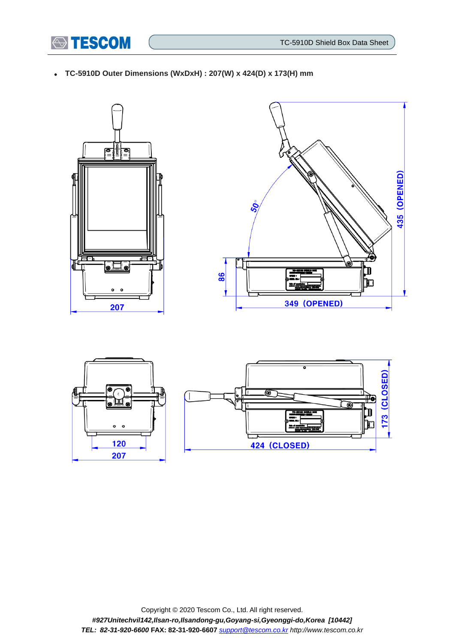

**TC-5910D Outer Dimensions (WxDxH) : 207(W) x 424(D) x 173(H) mm**









Copyright © 2020 Tescom Co., Ltd. All right reserved. *#927Unitechvil142,Ilsan-ro,Ilsandong-gu,Goyang-si,Gyeonggi-do,Korea [10442] TEL: 82-31-920-6600* **FAX: 82-31-920-6607** *[support@tescom.co.kr](mailto:support@tescom.co.kr) http://www.tescom.co.kr*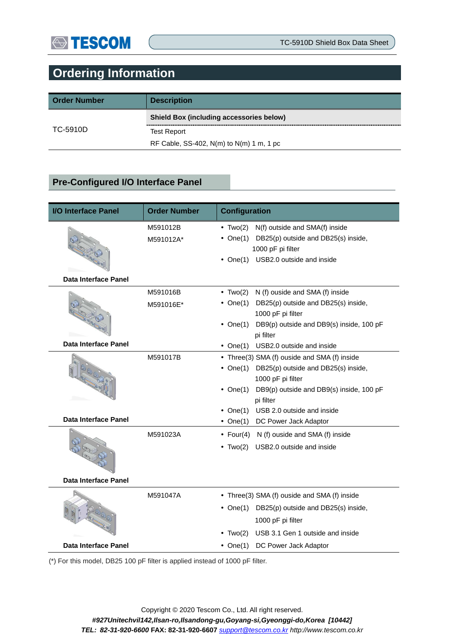## **Ordering Information**

| <b>Order Number</b> | <b>Description</b>                              |
|---------------------|-------------------------------------------------|
|                     | <b>Shield Box (including accessories below)</b> |
| TC-5910D            | <b>Test Report</b>                              |
|                     | RF Cable, SS-402, $N(m)$ to $N(m)$ 1 m, 1 pc    |

#### **Pre-Configured I/O Interface Panel**

| <b>I/O Interface Panel</b>  | <b>Order Number</b> | <b>Configuration</b>                                   |  |  |
|-----------------------------|---------------------|--------------------------------------------------------|--|--|
|                             | M591012B            | N(f) outside and SMA(f) inside<br>$\bullet$ Two(2)     |  |  |
|                             | M591012A*           | • One(1) DB25(p) outside and DB25(s) inside,           |  |  |
|                             |                     | 1000 pF pi filter                                      |  |  |
|                             |                     | USB2.0 outside and inside<br>$\bullet$ One(1)          |  |  |
| Data Interface Panel        |                     |                                                        |  |  |
|                             | M591016B            | $\bullet$ Two(2)<br>N (f) ouside and SMA (f) inside    |  |  |
|                             | M591016E*           | DB25(p) outside and DB25(s) inside,<br>• One $(1)$     |  |  |
|                             |                     | 1000 pF pi filter                                      |  |  |
|                             |                     | DB9(p) outside and DB9(s) inside, 100 pF<br>• $One(1)$ |  |  |
|                             |                     | pi filter                                              |  |  |
| Data Interface Panel        |                     | USB2.0 outside and inside<br>$\bullet$ One(1)          |  |  |
|                             | M591017B            | • Three(3) SMA (f) ouside and SMA (f) inside           |  |  |
|                             |                     | • One(1) DB25(p) outside and DB25(s) inside,           |  |  |
|                             |                     | 1000 pF pi filter                                      |  |  |
|                             |                     | DB9(p) outside and DB9(s) inside, 100 pF<br>• $One(1)$ |  |  |
|                             |                     | pi filter                                              |  |  |
| Data Interface Panel        |                     | • One(1) USB 2.0 outside and inside                    |  |  |
|                             |                     | • One(1) DC Power Jack Adaptor                         |  |  |
|                             | M591023A            | • Four(4) N (f) ouside and SMA (f) inside              |  |  |
|                             |                     | USB2.0 outside and inside<br>$\cdot$ Two(2)            |  |  |
|                             |                     |                                                        |  |  |
|                             |                     |                                                        |  |  |
| <b>Data Interface Panel</b> |                     |                                                        |  |  |
|                             | M591047A            | • Three(3) SMA (f) ouside and SMA (f) inside           |  |  |
|                             |                     | • One(1) DB25(p) outside and DB25(s) inside,           |  |  |
|                             |                     | 1000 pF pi filter                                      |  |  |
|                             |                     | USB 3.1 Gen 1 outside and inside<br>$\bullet$ Two(2)   |  |  |
| <b>Data Interface Panel</b> |                     | DC Power Jack Adaptor<br>• One $(1)$                   |  |  |
|                             |                     |                                                        |  |  |

(\*) For this model, DB25 100 pF filter is applied instead of 1000 pF filter.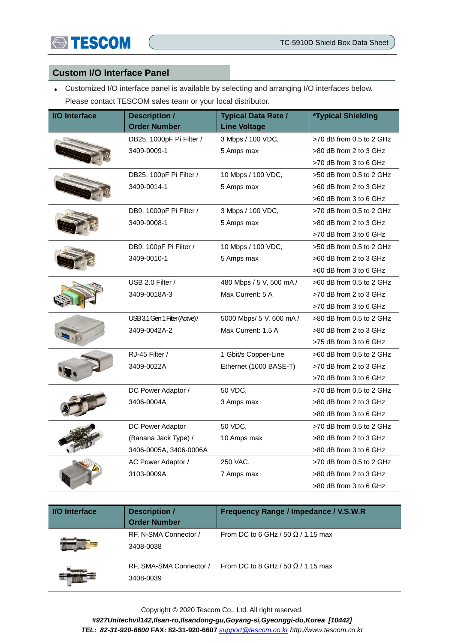

#### **Custom I/O Interface Panel**

 Customized I/O interface panel is available by selecting and arranging I/O interfaces below. Please contact TESCOM sales team or your local distributor.

| <b>I/O</b> Interface | <b>Description /</b><br><b>Order Number</b> | <b>Typical Data Rate /</b><br><b>Line Voltage</b> | <i><b>*Typical Shielding</b></i> |
|----------------------|---------------------------------------------|---------------------------------------------------|----------------------------------|
|                      |                                             |                                                   |                                  |
|                      | DB25, 1000pF Pi Filter /                    | 3 Mbps / 100 VDC,                                 | >70 dB from 0.5 to 2 GHz         |
|                      | 3409-0009-1                                 | 5 Amps max                                        | >80 dB from 2 to 3 GHz           |
|                      |                                             |                                                   | >70 dB from 3 to 6 GHz           |
|                      | DB25, 100pF Pi Filter /                     | 10 Mbps / 100 VDC,                                | >50 dB from 0.5 to 2 GHz         |
|                      | 3409-0014-1                                 | 5 Amps max                                        | >60 dB from 2 to 3 GHz           |
|                      |                                             |                                                   | >60 dB from 3 to 6 GHz           |
|                      | DB9, 1000pF Pi Filter /                     | 3 Mbps / 100 VDC,                                 | $>70$ dB from 0.5 to 2 GHz       |
|                      | 3409-0008-1                                 | 5 Amps max                                        | >80 dB from 2 to 3 GHz           |
|                      |                                             |                                                   | >70 dB from 3 to 6 GHz           |
|                      | DB9, 100pF Pi Filter /                      | 10 Mbps / 100 VDC,                                | >50 dB from 0.5 to 2 GHz         |
|                      | 3409-0010-1                                 | 5 Amps max                                        | >60 dB from 2 to 3 GHz           |
|                      |                                             |                                                   | >60 dB from 3 to 6 GHz           |
|                      | USB 2.0 Filter /                            | 480 Mbps / 5 V, 500 mA /                          | $>60$ dB from 0.5 to 2 GHz       |
|                      | 3409-0018A-3                                | Max Current: 5 A                                  | >70 dB from 2 to 3 GHz           |
|                      |                                             |                                                   | >70 dB from 3 to 6 GHz           |
|                      | USB 3.1 Gen 1 Filter (Active)/              | 5000 Mbps/ 5 V, 600 mA /                          | >80 dB from 0.5 to 2 GHz         |
|                      | 3409-0042A-2                                | Max Current: 1.5 A                                | >80 dB from 2 to 3 GHz           |
|                      |                                             |                                                   | >75 dB from 3 to 6 GHz           |
|                      | RJ-45 Filter /                              | 1 Gbit/s Copper-Line                              | >60 dB from 0.5 to 2 GHz         |
|                      | 3409-0022A                                  | Ethernet (1000 BASE-T)                            | >70 dB from 2 to 3 GHz           |
|                      |                                             |                                                   | >70 dB from 3 to 6 GHz           |
|                      | DC Power Adaptor /                          | 50 VDC,                                           | >70 dB from 0.5 to 2 GHz         |
|                      | 3406-0004A                                  | 3 Amps max                                        | >80 dB from 2 to 3 GHz           |
|                      |                                             |                                                   | >80 dB from 3 to 6 GHz           |
|                      | DC Power Adaptor                            | 50 VDC,                                           | >70 dB from 0.5 to 2 GHz         |
|                      | (Banana Jack Type) /                        | 10 Amps max                                       | >80 dB from 2 to 3 GHz           |
|                      | 3406-0005A, 3406-0006A                      |                                                   | >80 dB from 3 to 6 GHz           |
|                      | AC Power Adaptor /                          | 250 VAC,                                          | >70 dB from 0.5 to 2 GHz         |
|                      | 3103-0009A                                  | 7 Amps max                                        | >80 dB from 2 to 3 GHz           |
|                      |                                             |                                                   | >80 dB from 3 to 6 GHz           |

| <b>I/O</b> Interface | <b>Description /</b><br><b>Order Number</b> | Frequency Range / Impedance / V.S.W.R     |
|----------------------|---------------------------------------------|-------------------------------------------|
|                      | RF, N-SMA Connector /<br>3408-0038          | From DC to 6 GHz / 50 $\Omega$ / 1.15 max |
|                      | RF, SMA-SMA Connector /<br>3408-0039        | From DC to 8 GHz / 50 $\Omega$ / 1.15 max |